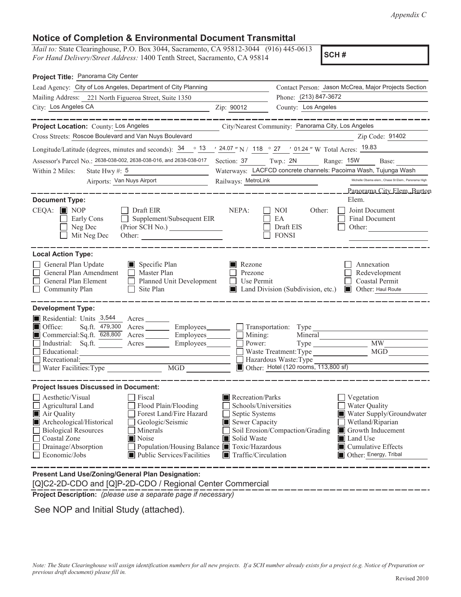## **Notice of Completion & Environmental Document Transmittal**

*Mail to:* State Clearinghouse, P.O. Box 3044, Sacramento, CA 95812-3044 (916) 445-0613 *For Hand Delivery/Street Address:* 1400 Tenth Street, Sacramento, CA 95814

**SCH #**

| Project Title: Panorama City Center                                                                                                                                                                                                                                                                                       |                                                                                                                                                                                   |                                                                                                                           |                                                                                                                                                                     |  |  |
|---------------------------------------------------------------------------------------------------------------------------------------------------------------------------------------------------------------------------------------------------------------------------------------------------------------------------|-----------------------------------------------------------------------------------------------------------------------------------------------------------------------------------|---------------------------------------------------------------------------------------------------------------------------|---------------------------------------------------------------------------------------------------------------------------------------------------------------------|--|--|
| Lead Agency: City of Los Angeles, Department of City Planning                                                                                                                                                                                                                                                             |                                                                                                                                                                                   |                                                                                                                           | Contact Person: Jason McCrea, Major Projects Section                                                                                                                |  |  |
| Mailing Address: 221 North Figueroa Street, Suite 1350                                                                                                                                                                                                                                                                    |                                                                                                                                                                                   | Phone: (213) 847-3672                                                                                                     |                                                                                                                                                                     |  |  |
| City: Los Angeles CA                                                                                                                                                                                                                                                                                                      | Zip: 90012                                                                                                                                                                        | County: Los Angeles                                                                                                       |                                                                                                                                                                     |  |  |
| Project Location: County: Los Angeles                                                                                                                                                                                                                                                                                     |                                                                                                                                                                                   | City/Nearest Community: Panorama City, Los Angeles                                                                        | --------                                                                                                                                                            |  |  |
| Cross Streets: Roscoe Boulevard and Van Nuys Boulevard                                                                                                                                                                                                                                                                    |                                                                                                                                                                                   |                                                                                                                           | Zip Code: 91402                                                                                                                                                     |  |  |
| Longitude/Latitude (degrees, minutes and seconds): $\frac{34}{9}$ $\frac{13}{24.07}$ N / 118 $\degree$ 27 $\degree$ 101.24 " W Total Acres: $\frac{19.83}{24}$                                                                                                                                                            |                                                                                                                                                                                   |                                                                                                                           |                                                                                                                                                                     |  |  |
| Assessor's Parcel No.: 2638-038-002, 2638-038-016, and 2638-038-017                                                                                                                                                                                                                                                       | Section: 37 Twp.: 2N                                                                                                                                                              |                                                                                                                           | Range: 15W<br>Base:                                                                                                                                                 |  |  |
| Within 2 Miles:<br>State Hwy #: $5$                                                                                                                                                                                                                                                                                       |                                                                                                                                                                                   | Waterways: LACFCD concrete channels: Pacoima Wash, Tujunga Wash                                                           |                                                                                                                                                                     |  |  |
| Airports: Van Nuys Airport                                                                                                                                                                                                                                                                                                | Railways: MetroLink                                                                                                                                                               |                                                                                                                           | Michelle Obama elem., Chase St Elem., Panorama High                                                                                                                 |  |  |
| <b>Document Type:</b><br>$CEQA: \blacksquare$ NOP<br>Draft EIR<br>Supplement/Subsequent EIR<br>Early Cons<br>Neg Dec<br>Mit Neg Dec<br>Other:                                                                                                                                                                             | NEPA:                                                                                                                                                                             | Other:<br>NOI<br>EA<br>Draft EIS<br><b>FONSI</b>                                                                          | <u>Panorama City Elem, Burton</u><br>Elem.<br>Joint Document<br>Final Document<br>Other:                                                                            |  |  |
| <b>Local Action Type:</b><br>General Plan Update<br>Specific Plan<br>General Plan Amendment<br>Master Plan<br>General Plan Element<br>Planned Unit Development<br>Community Plan<br>Site Plan                                                                                                                             | Rezone<br>I I<br>Prezone<br>Use Permit                                                                                                                                            | Land Division (Subdivision, etc.)                                                                                         | Annexation<br>Redevelopment<br>Coastal Permit<br>Other: Haul Route<br>LU 1                                                                                          |  |  |
| <b>Development Type:</b>                                                                                                                                                                                                                                                                                                  |                                                                                                                                                                                   |                                                                                                                           |                                                                                                                                                                     |  |  |
| Residential: Units 3,544<br>Acres<br>Office:<br>Sq.ft. 479,300<br>Acres Employees<br>Commercial:Sq.ft. 628,800<br>Employees____<br>Acres<br>Industrial: Sq.ft.<br>Employees<br>Acres<br>Educational:<br>Recreational:<br>Water Facilities: Type                                                                           | Mining:<br>Power:                                                                                                                                                                 | Transportation: Type<br>Mineral<br>Waste Treatment: Type<br>Hazardous Waste: Type<br>Other: Hotel (120 rooms, 113,800 sf) | MW<br><b>MGD</b>                                                                                                                                                    |  |  |
| <b>Project Issues Discussed in Document:</b>                                                                                                                                                                                                                                                                              |                                                                                                                                                                                   |                                                                                                                           |                                                                                                                                                                     |  |  |
| Aesthetic/Visual<br>Fiscal<br>$\Box$ Agricultural Land<br>Flood Plain/Flooding<br>Forest Land/Fire Hazard<br>Air Quality<br>Archeological/Historical<br>Geologic/Seismic<br><b>Biological Resources</b><br>Minerals<br>Noise<br>Coastal Zone<br>$\Box$ Drainage/Absorption<br>Economic/Jobs<br>Public Services/Facilities | Recreation/Parks<br>Schools/Universities<br>Septic Systems<br>Sewer Capacity<br>Solid Waste<br>Population/Housing Balance ■ Toxic/Hazardous<br>$\blacksquare$ Traffic/Circulation | Soil Erosion/Compaction/Grading                                                                                           | Vegetation<br>Water Quality<br>Water Supply/Groundwater<br>Wetland/Riparian<br>Growth Inducement<br>Land Use<br>■ Cumulative Effects<br>Other: Energy, Tribal<br>IШ |  |  |
| Present Land Use/Zoning/General Plan Designation:                                                                                                                                                                                                                                                                         |                                                                                                                                                                                   |                                                                                                                           |                                                                                                                                                                     |  |  |

[Q]C2-2D-CDO and [Q]P-2D-CDO / Regional Center Commercial

**Project Description:** *(please use a separate page if necessary)*

See NOP and Initial Study (attached).